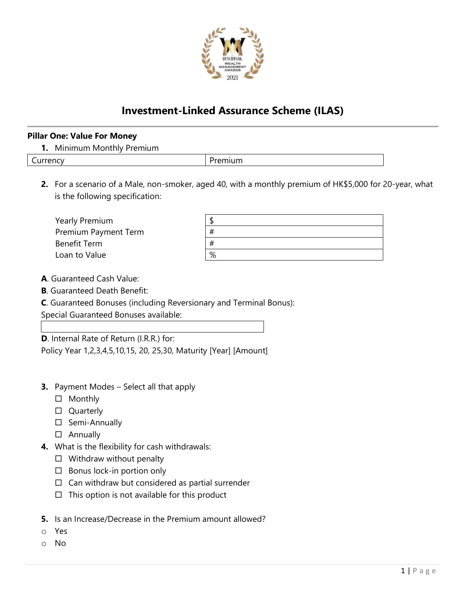

# **Investment-Linked Assurance Scheme (ILAS)**

#### **Pillar One: Value For Money**

|  | 1. Minimum Monthly Premium |  |  |
|--|----------------------------|--|--|
|--|----------------------------|--|--|

| urrency |
|---------|
|         |

version of the contract of the premium of  $\sim$  Premium

**2.** For a scenario of a Male, non-smoker, aged 40, with a monthly premium of HK\$5,000 for 20-year, what is the following specification:

| Yearly Premium              |   |
|-----------------------------|---|
| <b>Premium Payment Term</b> | # |
| Benefit Term                | # |
| Loan to Value               | % |

- **A**. Guaranteed Cash Value:
- **B**. Guaranteed Death Benefit:
- **C**. Guaranteed Bonuses (including Reversionary and Terminal Bonus):

Special Guaranteed Bonuses available:

**D**. Internal Rate of Return (I.R.R.) for:

Policy Year 1,2,3,4,5,10,15, 20, 25,30, Maturity [Year] [Amount]

- **3.** Payment Modes Select all that apply
	- □ Monthly
	- □ Quarterly
	- □ Semi-Annually
	- Annually
- **4.** What is the flexibility for cash withdrawals:
	- $\Box$  Withdraw without penalty
	- $\square$  Bonus lock-in portion only
	- $\Box$  Can withdraw but considered as partial surrender
	- $\Box$  This option is not available for this product
- **5.** Is an Increase/Decrease in the Premium amount allowed?
- o Yes
- o No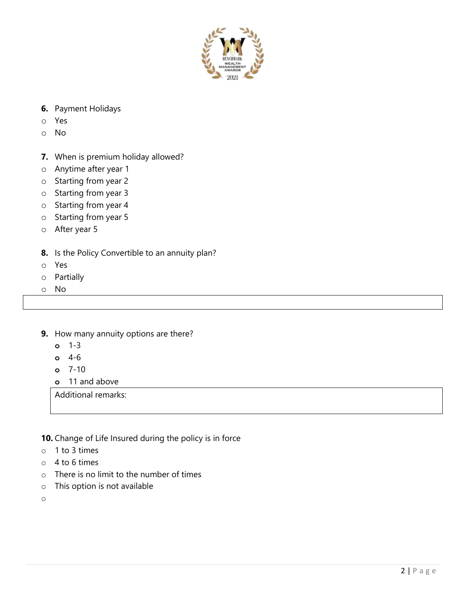

- **6.** Payment Holidays
- o Yes
- o No
- **7.** When is premium holiday allowed?
- o Anytime after year 1
- o Starting from year 2
- o Starting from year 3
- o Starting from year 4
- o Starting from year 5
- o After year 5
- **8.** Is the Policy Convertible to an annuity plan?
- o Yes
- o Partially
- o No
- **9.** How many annuity options are there?
	- **o** 1-3
	- **o** 4-6
	- **o** 7-10
	- **o** 11 and above

Additional remarks:

**10.** Change of Life Insured during the policy is in force

- o 1 to 3 times
- $\circ$  4 to 6 times
- o There is no limit to the number of times
- o This option is not available

o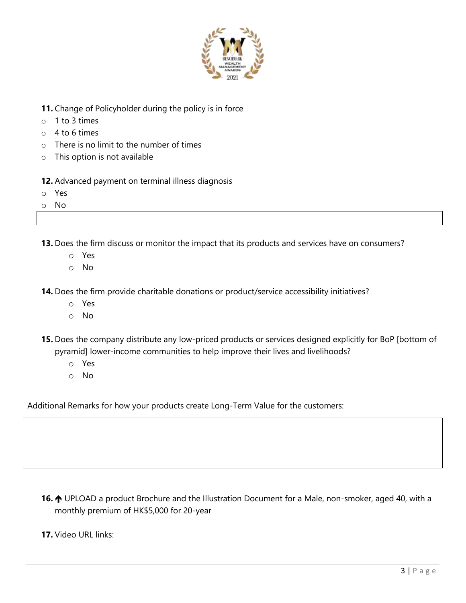

- **11.** Change of Policyholder during the policy is in force
- o 1 to 3 times
- $\circ$  4 to 6 times
- o There is no limit to the number of times
- o This option is not available

**12.** Advanced payment on terminal illness diagnosis

- o Yes
- o No

**13.** Does the firm discuss or monitor the impact that its products and services have on consumers?

- o Yes
- o No

**14.** Does the firm provide charitable donations or product/service accessibility initiatives?

- o Yes
- o No
- **15.** Does the company distribute any low-priced products or services designed explicitly for BoP [bottom of pyramid] lower-income communities to help improve their lives and livelihoods?
	- o Yes
	- o No

Additional Remarks for how your products create Long-Term Value for the customers:

16.  $\uparrow$  UPLOAD a product Brochure and the Illustration Document for a Male, non-smoker, aged 40, with a monthly premium of HK\$5,000 for 20-year

**17.** Video URL links: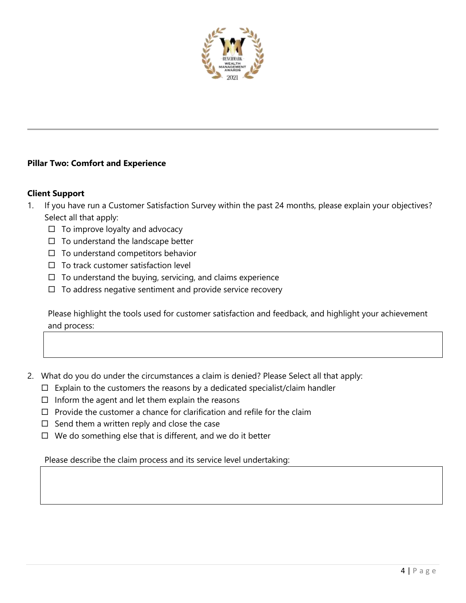

# **Pillar Two: Comfort and Experience**

### **Client Support**

- 1. If you have run a Customer Satisfaction Survey within the past 24 months, please explain your objectives? Select all that apply:
	- $\Box$  To improve loyalty and advocacy
	- $\Box$  To understand the landscape better
	- $\Box$  To understand competitors behavior
	- $\Box$  To track customer satisfaction level
	- $\Box$  To understand the buying, servicing, and claims experience
	- $\Box$  To address negative sentiment and provide service recovery

Please highlight the tools used for customer satisfaction and feedback, and highlight your achievement and process:

- 2. What do you do under the circumstances a claim is denied? Please Select all that apply:
	- $\Box$  Explain to the customers the reasons by a dedicated specialist/claim handler
	- $\Box$  Inform the agent and let them explain the reasons
	- $\Box$  Provide the customer a chance for clarification and refile for the claim
	- $\Box$  Send them a written reply and close the case
	- $\Box$  We do something else that is different, and we do it better

Please describe the claim process and its service level undertaking: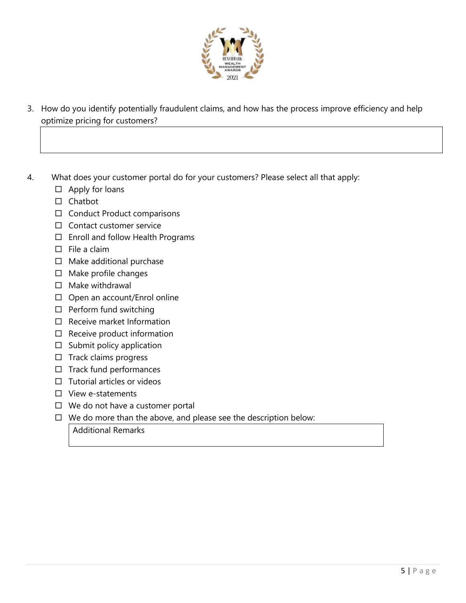

- 3. How do you identify potentially fraudulent claims, and how has the process improve efficiency and help optimize pricing for customers?
- 4. What does your customer portal do for your customers? Please select all that apply:
	- $\Box$  Apply for loans
	- $\square$  Chatbot
	- $\square$  Conduct Product comparisons
	- $\Box$  Contact customer service
	- Enroll and follow Health Programs
	- $\square$  File a claim
	- $\Box$  Make additional purchase
	- $\square$  Make profile changes
	- $\Box$  Make withdrawal
	- $\Box$  Open an account/Enrol online
	- $\Box$  Perform fund switching
	- $\Box$  Receive market Information
	- $\Box$  Receive product information
	- $\square$  Submit policy application
	- $\square$  Track claims progress
	- $\Box$  Track fund performances
	- $\Box$  Tutorial articles or videos
	- $\square$  View e-statements
	- $\Box$  We do not have a customer portal
	- $\Box$  We do more than the above, and please see the description below: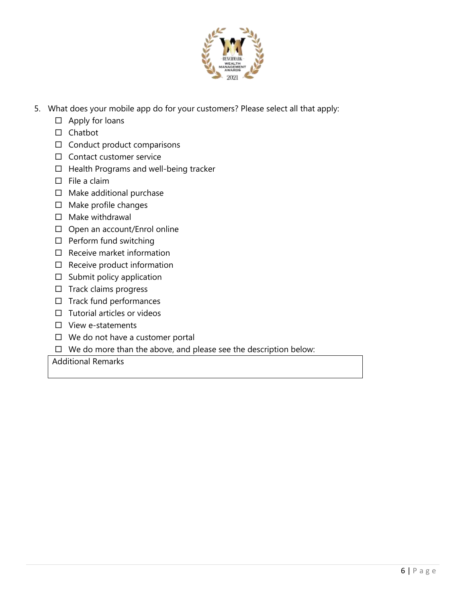

- 5. What does your mobile app do for your customers? Please select all that apply:
	- $\Box$  Apply for loans
	- $\square$  Chatbot
	- $\Box$  Conduct product comparisons
	- $\Box$  Contact customer service
	- $\Box$  Health Programs and well-being tracker
	- $\Box$  File a claim
	- $\square$  Make additional purchase
	- $\square$  Make profile changes
	- $\square$  Make withdrawal
	- □ Open an account/Enrol online
	- $\square$  Perform fund switching
	- $\Box$  Receive market information
	- $\Box$  Receive product information
	- $\square$  Submit policy application
	- $\square$  Track claims progress
	- $\Box$  Track fund performances
	- $\Box$  Tutorial articles or videos
	- $\square$  View e-statements
	- $\Box$  We do not have a customer portal
	- $\Box$  We do more than the above, and please see the description below: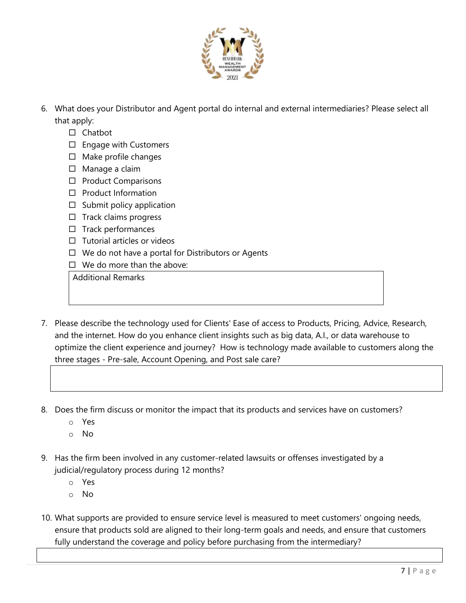

- 6. What does your Distributor and Agent portal do internal and external intermediaries? Please select all that apply:
	- $\Box$  Chathot
	- $\square$  Engage with Customers
	- $\square$  Make profile changes
	- □ Manage a claim
	- $\square$  Product Comparisons
	- $\Box$  Product Information
	- $\square$  Submit policy application
	- $\Box$  Track claims progress
	- $\Box$  Track performances
	- $\Box$  Tutorial articles or videos
	- $\Box$  We do not have a portal for Distributors or Agents
	- $\Box$  We do more than the above:

- 7. Please describe the technology used for Clients' Ease of access to Products, Pricing, Advice, Research, and the internet. How do you enhance client insights such as big data, A.I., or data warehouse to optimize the client experience and journey? How is technology made available to customers along the three stages - Pre-sale, Account Opening, and Post sale care?
- 8. Does the firm discuss or monitor the impact that its products and services have on customers?
	- o Yes
	- o No
- 9. Has the firm been involved in any customer-related lawsuits or offenses investigated by a judicial/regulatory process during 12 months?
	- o Yes
	- o No
- 10. What supports are provided to ensure service level is measured to meet customers' ongoing needs, ensure that products sold are aligned to their long-term goals and needs, and ensure that customers fully understand the coverage and policy before purchasing from the intermediary?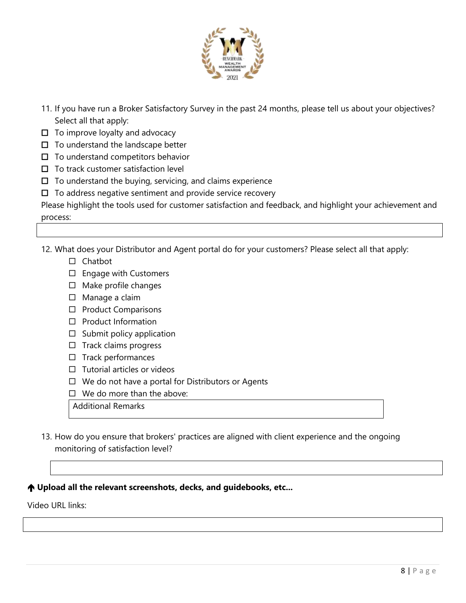

- 11. If you have run a Broker Satisfactory Survey in the past 24 months, please tell us about your objectives? Select all that apply:
- $\Box$  To improve loyalty and advocacy
- $\Box$  To understand the landscape better
- $\square$  To understand competitors behavior
- $\square$  To track customer satisfaction level
- $\Box$  To understand the buying, servicing, and claims experience
- $\square$  To address negative sentiment and provide service recovery

Please highlight the tools used for customer satisfaction and feedback, and highlight your achievement and process:

12. What does your Distributor and Agent portal do for your customers? Please select all that apply:

- $\Box$  Chatbot
- □ Engage with Customers
- $\Box$  Make profile changes
- □ Manage a claim
- $\square$  Product Comparisons
- $\Box$  Product Information
- $\square$  Submit policy application
- $\Box$  Track claims progress
- $\Box$  Track performances
- $\Box$  Tutorial articles or videos
- $\Box$  We do not have a portal for Distributors or Agents
- $\Box$  We do more than the above:
- Additional Remarks
- 13. How do you ensure that brokers' practices are aligned with client experience and the ongoing monitoring of satisfaction level?

# **Upload all the relevant screenshots, decks, and guidebooks, etc...**

Video URL links: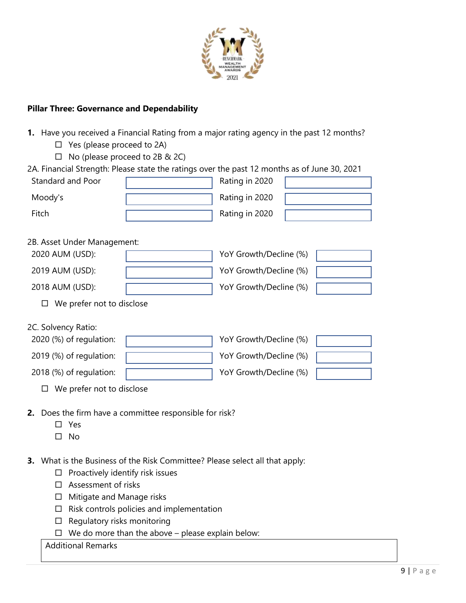

# **Pillar Three: Governance and Dependability**

| Yes (please proceed to 2A)<br>□                                                              |                                |                        |  |  |
|----------------------------------------------------------------------------------------------|--------------------------------|------------------------|--|--|
| □                                                                                            | No (please proceed to 2B & 2C) |                        |  |  |
| 2A. Financial Strength: Please state the ratings over the past 12 months as of June 30, 2021 |                                |                        |  |  |
| Standard and Poor                                                                            |                                | Rating in 2020         |  |  |
| Moody's                                                                                      |                                | Rating in 2020         |  |  |
| Fitch                                                                                        |                                | Rating in 2020         |  |  |
|                                                                                              |                                |                        |  |  |
| 2B. Asset Under Management:                                                                  |                                |                        |  |  |
| 2020 AUM (USD):                                                                              |                                | YoY Growth/Decline (%) |  |  |
| 2019 AUM (USD):                                                                              |                                | YoY Growth/Decline (%) |  |  |
| 2018 AUM (USD):                                                                              |                                | YoY Growth/Decline (%) |  |  |
| We prefer not to disclose<br>□                                                               |                                |                        |  |  |
|                                                                                              |                                |                        |  |  |
| 2C. Solvency Ratio:                                                                          |                                |                        |  |  |
| 2020 (%) of regulation:                                                                      |                                | YoY Growth/Decline (%) |  |  |
| 2019 (%) of regulation:                                                                      |                                | YoY Growth/Decline (%) |  |  |
| 2018 (%) of regulation:                                                                      |                                | YoY Growth/Decline (%) |  |  |
| We prefer not to disclose<br>□                                                               |                                |                        |  |  |
|                                                                                              |                                |                        |  |  |
| <b>2.</b> Does the firm have a committee responsible for risk?                               |                                |                        |  |  |
| Yes                                                                                          |                                |                        |  |  |
| No                                                                                           |                                |                        |  |  |

**1.** Have you received a Financial Rating from a major rating agency in the past 12 months?

- **3.** What is the Business of the Risk Committee? Please select all that apply:
	- $\Box$  Proactively identify risk issues
	- $\square$  Assessment of risks
	- □ Mitigate and Manage risks
	- $\Box$  Risk controls policies and implementation
	- $\square$  Regulatory risks monitoring
	- $\Box$  We do more than the above please explain below: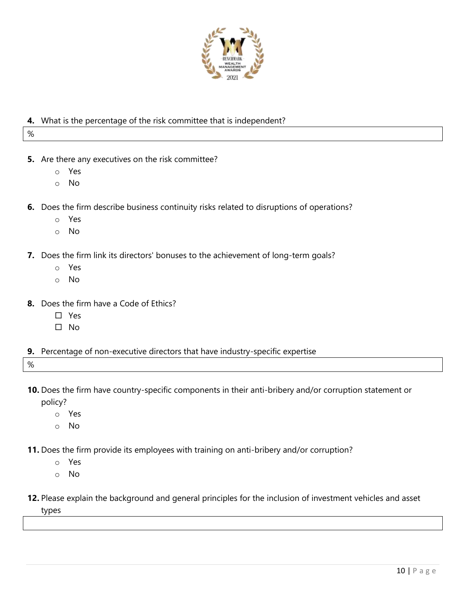

# **4.** What is the percentage of the risk committee that is independent?

%

- **5.** Are there any executives on the risk committee?
	- o Yes
	- o No
- **6.** Does the firm describe business continuity risks related to disruptions of operations?
	- o Yes
	- o No
- **7.** Does the firm link its directors' bonuses to the achievement of long-term goals?
	- o Yes
	- o No
- **8.** Does the firm have a Code of Ethics?
	- □ Yes
	- $\square$  No
- **9.** Percentage of non-executive directors that have industry-specific expertise

%

- **10.** Does the firm have country-specific components in their anti-bribery and/or corruption statement or policy?
	- o Yes
	- o No
- **11.** Does the firm provide its employees with training on anti-bribery and/or corruption?
	- o Yes
	- o No
- **12.** Please explain the background and general principles for the inclusion of investment vehicles and asset

types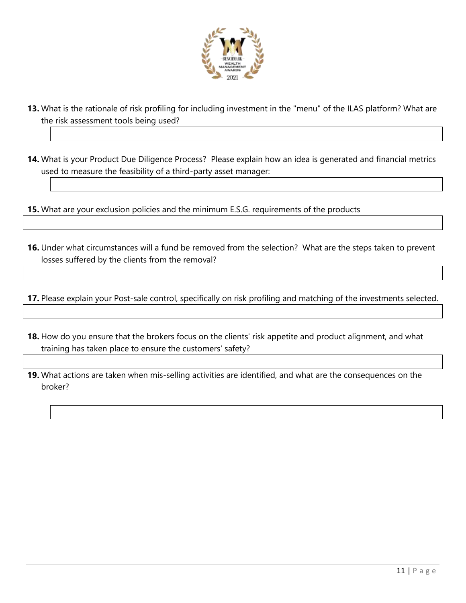

- **13.** What is the rationale of risk profiling for including investment in the "menu" of the ILAS platform? What are the risk assessment tools being used?
- **14.** What is your Product Due Diligence Process? Please explain how an idea is generated and financial metrics used to measure the feasibility of a third-party asset manager:
- **15.** What are your exclusion policies and the minimum E.S.G. requirements of the products
- **16.** Under what circumstances will a fund be removed from the selection? What are the steps taken to prevent losses suffered by the clients from the removal?

**17.** Please explain your Post-sale control, specifically on risk profiling and matching of the investments selected.

- **18.** How do you ensure that the brokers focus on the clients' risk appetite and product alignment, and what training has taken place to ensure the customers' safety?
- **19.** What actions are taken when mis-selling activities are identified, and what are the consequences on the broker?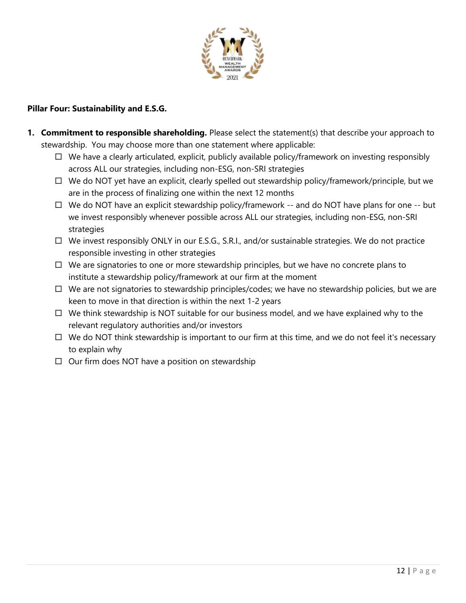

# **Pillar Four: Sustainability and E.S.G.**

- **1. Commitment to responsible shareholding.** Please select the statement(s) that describe your approach to stewardship. You may choose more than one statement where applicable:
	- $\Box$  We have a clearly articulated, explicit, publicly available policy/framework on investing responsibly across ALL our strategies, including non-ESG, non-SRI strategies
	- $\Box$  We do NOT yet have an explicit, clearly spelled out stewardship policy/framework/principle, but we are in the process of finalizing one within the next 12 months
	- $\Box$  We do NOT have an explicit stewardship policy/framework -- and do NOT have plans for one -- but we invest responsibly whenever possible across ALL our strategies, including non-ESG, non-SRI strategies
	- $\Box$  We invest responsibly ONLY in our E.S.G., S.R.I., and/or sustainable strategies. We do not practice responsible investing in other strategies
	- $\Box$  We are signatories to one or more stewardship principles, but we have no concrete plans to institute a stewardship policy/framework at our firm at the moment
	- $\Box$  We are not signatories to stewardship principles/codes; we have no stewardship policies, but we are keen to move in that direction is within the next 1-2 years
	- $\Box$  We think stewardship is NOT suitable for our business model, and we have explained why to the relevant regulatory authorities and/or investors
	- $\Box$  We do NOT think stewardship is important to our firm at this time, and we do not feel it's necessary to explain why
	- $\Box$  Our firm does NOT have a position on stewardship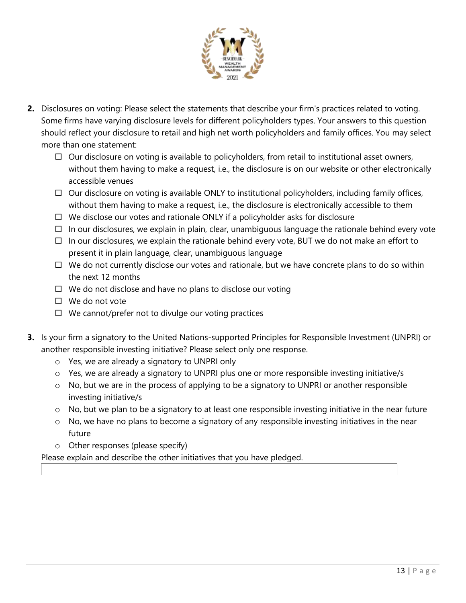

- **2.** Disclosures on voting: Please select the statements that describe your firm's practices related to voting. Some firms have varying disclosure levels for different policyholders types. Your answers to this question should reflect your disclosure to retail and high net worth policyholders and family offices. You may select more than one statement:
	- $\Box$  Our disclosure on voting is available to policyholders, from retail to institutional asset owners, without them having to make a request, i.e., the disclosure is on our website or other electronically accessible venues
	- $\Box$  Our disclosure on voting is available ONLY to institutional policyholders, including family offices, without them having to make a request, i.e., the disclosure is electronically accessible to them
	- $\Box$  We disclose our votes and rationale ONLY if a policyholder asks for disclosure
	- $\Box$  In our disclosures, we explain in plain, clear, unambiguous language the rationale behind every vote
	- $\Box$  In our disclosures, we explain the rationale behind every vote, BUT we do not make an effort to present it in plain language, clear, unambiguous language
	- $\Box$  We do not currently disclose our votes and rationale, but we have concrete plans to do so within the next 12 months
	- $\Box$  We do not disclose and have no plans to disclose our voting
	- $\Box$  We do not vote
	- $\Box$  We cannot/prefer not to divulge our voting practices
- **3.** Is your firm a signatory to the United Nations-supported Principles for Responsible Investment (UNPRI) or another responsible investing initiative? Please select only one response.
	- o Yes, we are already a signatory to UNPRI only
	- o Yes, we are already a signatory to UNPRI plus one or more responsible investing initiative/s
	- o No, but we are in the process of applying to be a signatory to UNPRI or another responsible investing initiative/s
	- o No, but we plan to be a signatory to at least one responsible investing initiative in the near future
	- o No, we have no plans to become a signatory of any responsible investing initiatives in the near future
	- o Other responses (please specify)

Please explain and describe the other initiatives that you have pledged.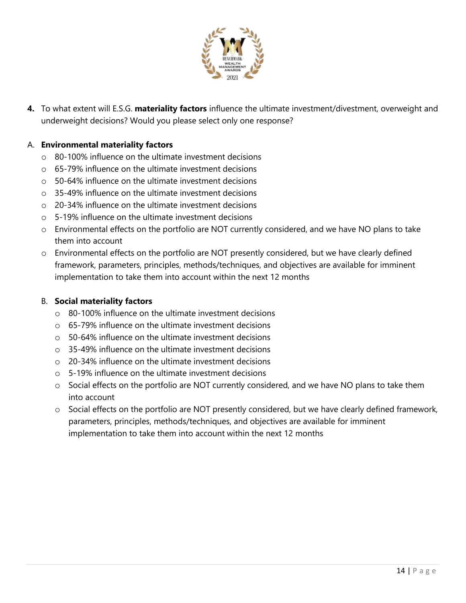

**4.** To what extent will E.S.G. **materiality factors** influence the ultimate investment/divestment, overweight and underweight decisions? Would you please select only one response?

# A. **Environmental materiality factors**

- $\circ$  80-100% influence on the ultimate investment decisions
- $\circ$  65-79% influence on the ultimate investment decisions
- o 50-64% influence on the ultimate investment decisions
- o 35-49% influence on the ultimate investment decisions
- o 20-34% influence on the ultimate investment decisions
- o 5-19% influence on the ultimate investment decisions
- o Environmental effects on the portfolio are NOT currently considered, and we have NO plans to take them into account
- o Environmental effects on the portfolio are NOT presently considered, but we have clearly defined framework, parameters, principles, methods/techniques, and objectives are available for imminent implementation to take them into account within the next 12 months

# B. **Social materiality factors**

- o 80-100% influence on the ultimate investment decisions
- o 65-79% influence on the ultimate investment decisions
- o 50-64% influence on the ultimate investment decisions
- o 35-49% influence on the ultimate investment decisions
- o 20-34% influence on the ultimate investment decisions
- o 5-19% influence on the ultimate investment decisions
- o Social effects on the portfolio are NOT currently considered, and we have NO plans to take them into account
- o Social effects on the portfolio are NOT presently considered, but we have clearly defined framework, parameters, principles, methods/techniques, and objectives are available for imminent implementation to take them into account within the next 12 months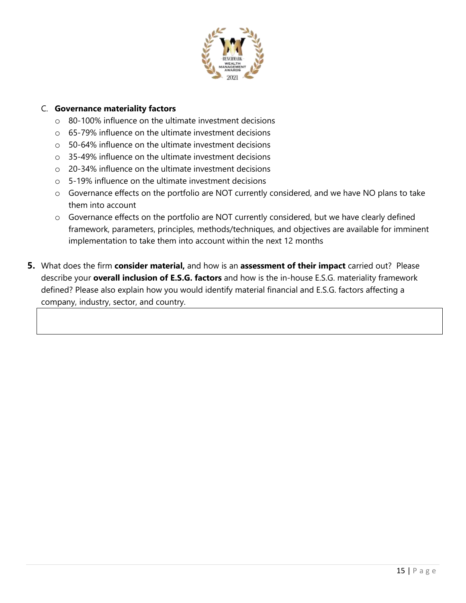

# C. **Governance materiality factors**

- o 80-100% influence on the ultimate investment decisions
- o 65-79% influence on the ultimate investment decisions
- o 50-64% influence on the ultimate investment decisions
- o 35-49% influence on the ultimate investment decisions
- o 20-34% influence on the ultimate investment decisions
- o 5-19% influence on the ultimate investment decisions
- o Governance effects on the portfolio are NOT currently considered, and we have NO plans to take them into account
- o Governance effects on the portfolio are NOT currently considered, but we have clearly defined framework, parameters, principles, methods/techniques, and objectives are available for imminent implementation to take them into account within the next 12 months
- **5.** What does the firm **consider material,** and how is an **assessment of their impact** carried out? Please describe your **overall inclusion of E.S.G. factors** and how is the in-house E.S.G. materiality framework defined? Please also explain how you would identify material financial and E.S.G. factors affecting a company, industry, sector, and country.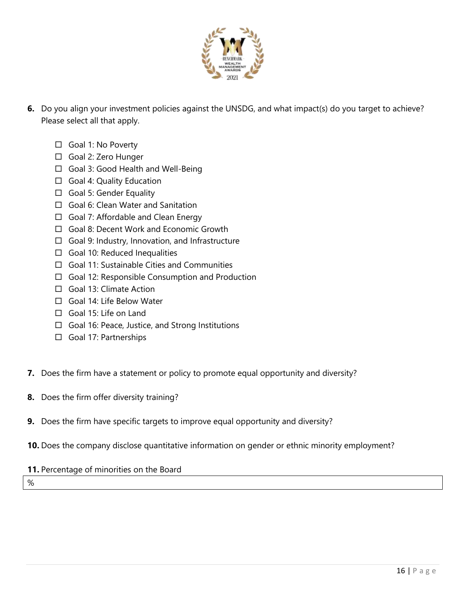

- **6.** Do you align your investment policies against the UNSDG, and what impact(s) do you target to achieve? Please select all that apply.
	- □ Goal 1: No Poverty
	- □ Goal 2: Zero Hunger
	- □ Goal 3: Good Health and Well-Being
	- □ Goal 4: Quality Education
	- Goal 5: Gender Equality
	- □ Goal 6: Clean Water and Sanitation
	- $\Box$  Goal 7: Affordable and Clean Energy
	- □ Goal 8: Decent Work and Economic Growth
	- $\Box$  Goal 9: Industry, Innovation, and Infrastructure
	- $\Box$  Goal 10: Reduced Inequalities
	- □ Goal 11: Sustainable Cities and Communities
	- $\Box$  Goal 12: Responsible Consumption and Production
	- Goal 13: Climate Action
	- □ Goal 14: Life Below Water
	- Goal 15: Life on Land
	- $\Box$  Goal 16: Peace, Justice, and Strong Institutions
	- Goal 17: Partnerships
- **7.** Does the firm have a statement or policy to promote equal opportunity and diversity?
- **8.** Does the firm offer diversity training?
- **9.** Does the firm have specific targets to improve equal opportunity and diversity?
- **10.** Does the company disclose quantitative information on gender or ethnic minority employment?

# **11.** Percentage of minorities on the Board

%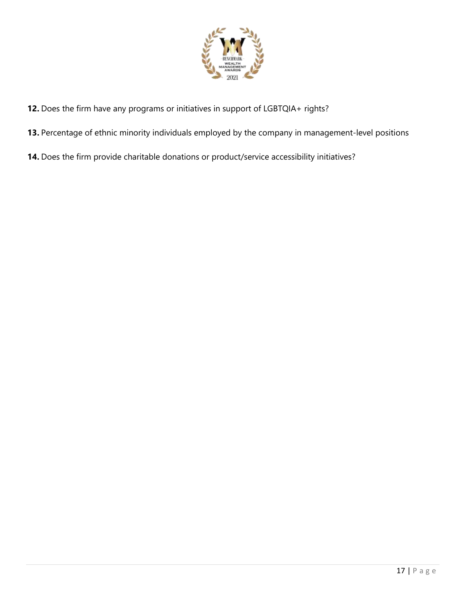

- **12.** Does the firm have any programs or initiatives in support of LGBTQIA+ rights?
- **13.** Percentage of ethnic minority individuals employed by the company in management-level positions
- **14.** Does the firm provide charitable donations or product/service accessibility initiatives?